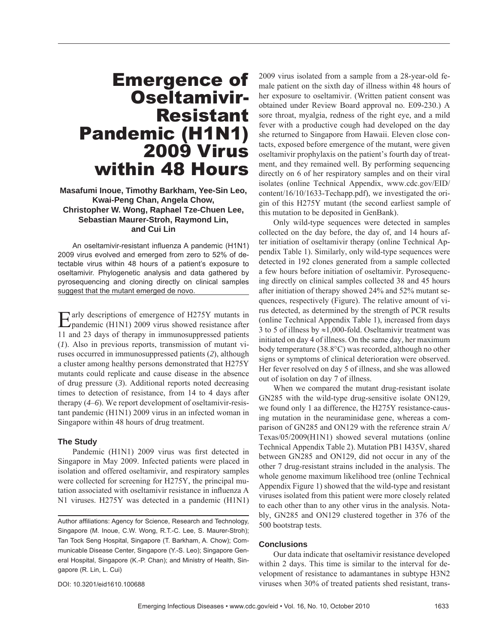# Emergence of Oseltamivir-Resistant Pandemic (H1N1) 2009 Virus within 48 Hours

**Masafumi Inoue, Timothy Barkham, Yee-Sin Leo, Kwai-Peng Chan, Angela Chow, Christopher W. Wong, Raphael Tze-Chuen Lee, Sebastian Maurer-Stroh, Raymond Lin, and Cui Lin**

An oseltamivir-resistant influenza A pandemic (H1N1) 2009 virus evolved and emerged from zero to 52% of detectable virus within 48 hours of a patient's exposure to oseltamivir. Phylogenetic analysis and data gathered by pyrosequencing and cloning directly on clinical samples suggest that the mutant emerged de novo.

Early descriptions of emergence of H275Y mutants in pandemic (H1N1) 2009 virus showed resistance after 11 and 23 days of therapy in immunosuppressed patients (*1*). Also in previous reports, transmission of mutant viruses occurred in immunosuppressed patients (*2*), although a cluster among healthy persons demonstrated that H275Y mutants could replicate and cause disease in the absence of drug pressure (*3*). Additional reports noted decreasing times to detection of resistance, from 14 to 4 days after therapy (*4*–*6*). We report development of oseltamivir-resistant pandemic (H1N1) 2009 virus in an infected woman in Singapore within 48 hours of drug treatment.

## **The Study**

Pandemic (H1N1) 2009 virus was first detected in Singapore in May 2009. Infected patients were placed in isolation and offered oseltamivir, and respiratory samples were collected for screening for H275Y, the principal mutation associated with oseltamivir resistance in influenza A N1 viruses. H275Y was detected in a pandemic (H1N1)

DOI: 10.3201/eid1610.100688

2009 virus isolated from a sample from a 28-year-old female patient on the sixth day of illness within 48 hours of her exposure to oseltamivir. (Written patient consent was obtained under Review Board approval no. E09-230.) A sore throat, myalgia, redness of the right eye, and a mild fever with a productive cough had developed on the day she returned to Singapore from Hawaii. Eleven close contacts, exposed before emergence of the mutant, were given oseltamivir prophylaxis on the patient's fourth day of treatment, and they remained well. By performing sequencing directly on 6 of her respiratory samples and on their viral isolates (online Technical Appendix, www.cdc.gov/EID/ content/16/10/1633-Techapp.pdf), we investigated the origin of this H275Y mutant (the second earliest sample of this mutation to be deposited in GenBank).

Only wild-type sequences were detected in samples collected on the day before, the day of, and 14 hours after initiation of oseltamivir therapy (online Technical Appendix Table 1). Similarly, only wild-type sequences were detected in 192 clones generated from a sample collected a few hours before initiation of oseltamivir. Pyrosequencing directly on clinical samples collected 38 and 45 hours after initiation of therapy showed 24% and 52% mutant sequences, respectively (Figure). The relative amount of virus detected, as determined by the strength of PCR results (online Technical Appendix Table 1), increased from days 3 to 5 of illness by  $\approx$ 1,000-fold. Oseltamivir treatment was initiated on day 4 of illness. On the same day, her maximum body temperature (38.8°C) was recorded, although no other signs or symptoms of clinical deterioration were observed. Her fever resolved on day 5 of illness, and she was allowed out of isolation on day 7 of illness.

When we compared the mutant drug-resistant isolate GN285 with the wild-type drug-sensitive isolate ON129, we found only 1 aa difference, the H275Y resistance-causing mutation in the neuraminidase gene, whereas a comparison of GN285 and ON129 with the reference strain A/ Texas/05/2009(H1N1) showed several mutations (online Technical Appendix Table 2). Mutation PB1 I435V, shared between GN285 and ON129, did not occur in any of the other 7 drug-resistant strains included in the analysis. The whole genome maximum likelihood tree (online Technical Appendix Figure 1) showed that the wild-type and resistant viruses isolated from this patient were more closely related to each other than to any other virus in the analysis. Notably, GN285 and ON129 clustered together in 376 of the 500 bootstrap tests.

### **Conclusions**

Our data indicate that oseltamivir resistance developed within 2 days. This time is similar to the interval for development of resistance to adamantanes in subtype H3N2 viruses when 30% of treated patients shed resistant, trans-

Author affiliations: Agency for Science, Research and Technology, Singapore (M. Inoue, C.W. Wong, R.T.-C. Lee, S. Maurer-Stroh); Tan Tock Seng Hospital, Singapore (T. Barkham, A. Chow); Communicable Disease Center, Singapore (Y.-S. Leo); Singapore General Hospital, Singapore (K.-P. Chan); and Ministry of Health, Singapore (R. Lin, L. Cui)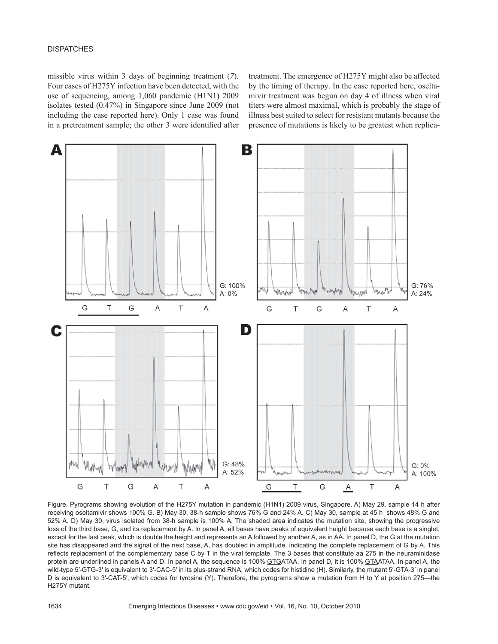# **DISPATCHES**

missible virus within 3 days of beginning treatment (*7*). Four cases of H275Y infection have been detected, with the use of sequencing, among 1,060 pandemic (H1N1) 2009 isolates tested (0.47%) in Singapore since June 2009 (not including the case reported here). Only 1 case was found in a pretreatment sample; the other 3 were identified after

treatment. The emergence of H275Y might also be affected by the timing of therapy. In the case reported here, oseltamivir treatment was begun on day 4 of illness when viral titers were almost maximal, which is probably the stage of illness best suited to select for resistant mutants because the presence of mutations is likely to be greatest when replica-



Figure. Pyrograms showing evolution of the H275Y mutation in pandemic (H1N1) 2009 virus, Singapore. A) May 29, sample 14 h after receiving oseltamivir shows 100% G. B) May 30, 38-h sample shows 76% G and 24% A. C) May 30, sample at 45 h shows 48% G and 52% A. D) May 30, virus isolated from 38-h sample is 100% A. The shaded area indicates the mutation site, showing the progressive loss of the third base, G, and its replacement by A. In panel A, all bases have peaks of equivalent height because each base is a singlet, except for the last peak, which is double the height and represents an A followed by another A, as in AA. In panel D, the G at the mutation site has disappeared and the signal of the next base, A, has doubled in amplitude, indicating the complete replacement of G by A. This reflects replacement of the complementary base C by T in the viral template. The 3 bases that constitute aa 275 in the neuraminidase protein are underlined in panels A and D. In panel A, the sequence is 100% GTGATAA. In panel D, it is 100% GTAATAA. In panel A, the wild-type 5′-GTG-3′ is equivalent to 3′-CAC-5′ in its plus-strand RNA, which codes for histidine (H). Similarly, the mutant 5′-GTA-3′ in panel D is equivalent to 3′-CAT-5′, which codes for tyrosine (Y). Therefore, the pyrograms show a mutation from H to Y at position 275—the H275Y mutant.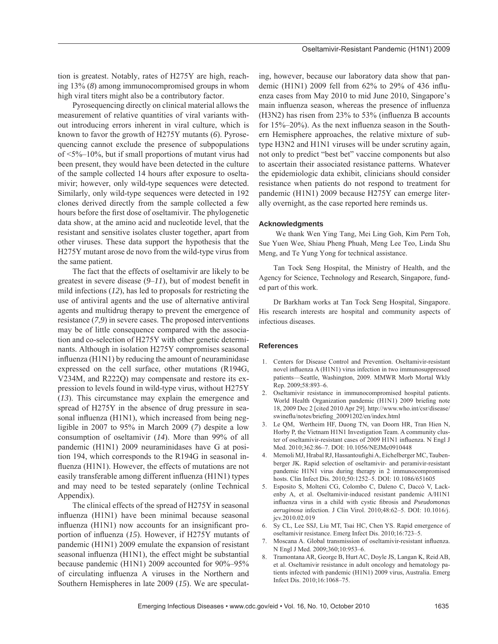tion is greatest. Notably, rates of H275Y are high, reaching 13% (*8*) among immunocompromised groups in whom high viral titers might also be a contributory factor.

Pyrosequencing directly on clinical material allows the measurement of relative quantities of viral variants without introducing errors inherent in viral culture, which is known to favor the growth of H275Y mutants (*6*). Pyrosequencing cannot exclude the presence of subpopulations of  $\leq 5\% - 10\%$ , but if small proportions of mutant virus had been present, they would have been detected in the culture of the sample collected 14 hours after exposure to oseltamivir; however, only wild-type sequences were detected. Similarly, only wild-type sequences were detected in 192 clones derived directly from the sample collected a few hours before the first dose of oseltamivir. The phylogenetic data show, at the amino acid and nucleotide level, that the resistant and sensitive isolates cluster together, apart from other viruses. These data support the hypothesis that the H275Y mutant arose de novo from the wild-type virus from the same patient.

The fact that the effects of oseltamivir are likely to be greatest in severe disease  $(9-11)$ , but of modest benefit in mild infections (*12*), has led to proposals for restricting the use of antiviral agents and the use of alternative antiviral agents and multidrug therapy to prevent the emergence of resistance (*7*,*9*) in severe cases. The proposed interventions may be of little consequence compared with the association and co-selection of H275Y with other genetic determinants. Although in isolation H275Y compromises seasonal  $influenza(H1N1)$  by reducing the amount of neuraminidase expressed on the cell surface, other mutations (R194G, V234M, and R222Q) may compensate and restore its expression to levels found in wild-type virus, without H275Y (*13*). This circumstance may explain the emergence and spread of H275Y in the absence of drug pressure in seasonal influenza  $(H1N1)$ , which increased from being negligible in 2007 to 95% in March 2009 (*7*) despite a low consumption of oseltamivir (*14*). More than 99% of all pandemic (H1N1) 2009 neuraminidases have G at position 194, which corresponds to the R194G in seasonal influenza (H1N1). However, the effects of mutations are not easily transferable among different influenza (H1N1) types and may need to be tested separately (online Technical Appendix).

The clinical effects of the spread of H275Y in seasonal influenza (H1N1) have been minimal because seasonal influenza  $(H1N1)$  now accounts for an insignificant proportion of influenza (15). However, if H275Y mutants of pandemic (H1N1) 2009 emulate the expansion of resistant seasonal influenza (H1N1), the effect might be substantial because pandemic (H1N1) 2009 accounted for 90%–95% of circulating influenza A viruses in the Northern and Southern Hemispheres in late 2009 (*15*). We are speculating, however, because our laboratory data show that pandemic (H1N1) 2009 fell from  $62\%$  to  $29\%$  of 436 influenza cases from May 2010 to mid June 2010, Singapore's main influenza season, whereas the presence of influenza  $(H3N2)$  has risen from 23% to 53% (influenza B accounts for  $15\% - 20\%$ ). As the next influenza season in the Southern Hemisphere approaches, the relative mixture of subtype H3N2 and H1N1 viruses will be under scrutiny again, not only to predict "best bet" vaccine components but also to ascertain their associated resistance patterns. Whatever the epidemiologic data exhibit, clinicians should consider resistance when patients do not respond to treatment for pandemic (H1N1) 2009 because H275Y can emerge literally overnight, as the case reported here reminds us.

## **Acknowledgments**

 We thank Wen Ying Tang, Mei Ling Goh, Kim Pern Toh, Sue Yuen Wee, Shiau Pheng Phuah, Meng Lee Teo, Linda Shu Meng, and Te Yung Yong for technical assistance.

Tan Tock Seng Hospital, the Ministry of Health, and the Agency for Science, Technology and Research, Singapore, funded part of this work.

Dr Barkham works at Tan Tock Seng Hospital, Singapore. His research interests are hospital and community aspects of infectious diseases.

#### **References**

- 1. Centers for Disease Control and Prevention. Oseltamivir-resistant novel influenza A (H1N1) virus infection in two immunosuppressed patients—Seattle, Washington, 2009. MMWR Morb Mortal Wkly Rep. 2009;58:893–6.
- 2. Oseltamivir resistance in immunocompromised hospital patients. World Health Organization pandemic (H1N1) 2009 briefing note 18, 2009 Dec 2 [cited 2010 Apr 29]. http://www.who.int/csr/disease/ swineflu/notes/briefing\_20091202/en/index.html
- 3. Le QM, Wertheim HF, Duong TN, van Doorn HR, Tran Hien N, Horby P, the Vietnam H1N1 Investigation Team. A community cluster of oseltamivir-resistant cases of 2009 H1N1 influenza. N Engl J Med. 2010;362:86–7. DOI: 10.1056/NEJMc0910448
- 4. Memoli MJ, Hrabal RJ, Hassantoufighi A, Eichelberger MC, Taubenberger JK. Rapid selection of oseltamivir- and peramivir-resistant pandemic H1N1 virus during therapy in 2 immunocompromised hosts. Clin Infect Dis. 2010;50:1252–5. DOI: 10.1086/651605
- 5. Esposito S, Molteni CG, Colombo C, Daleno C, Daccò V, Lackenby A, et al. Oseltamivir-induced resistant pandemic A/H1N1 influenza virus in a child with cystic fibrosis and *Pseudomonas aeruginosa* infection. J Clin Virol. 2010;48:62–5. DOI: 10.1016/j. jcv.2010.02.019
- 6. Sy CL, Lee SSJ, Liu MT, Tsai HC, Chen YS. Rapid emergence of oseltamivir resistance. Emerg Infect Dis. 2010;16:723–5.
- 7. Moscana A. Global transmission of oseltamivir-resistant influenza. N Engl J Med. 2009;360;10:953–6.
- 8. Tramontana AR, George B, Hurt AC, Doyle JS, Langan K, Reid AB, et al. Oseltamivir resistance in adult oncology and hematology patients infected with pandemic (H1N1) 2009 virus, Australia. Emerg Infect Dis. 2010;16:1068–75.